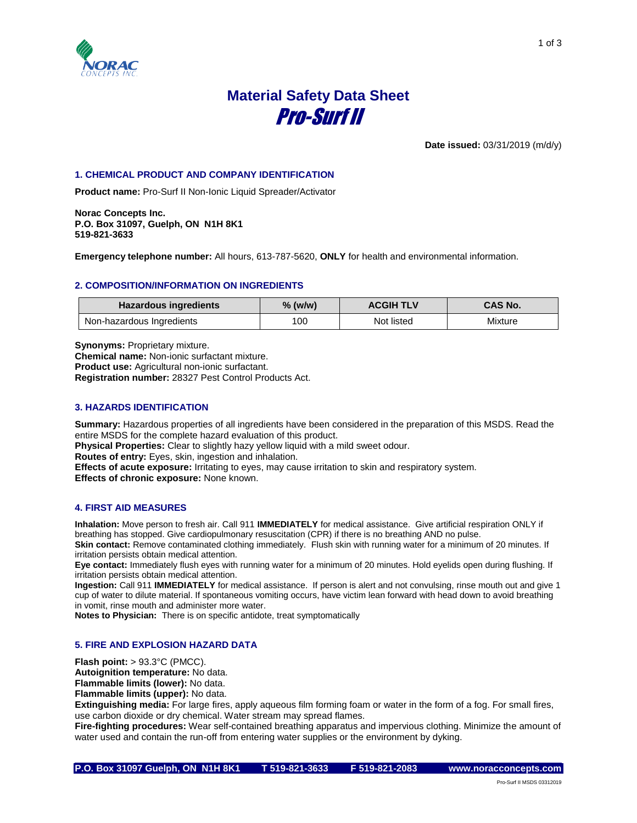

# **Material Safety Data Sheet** Pro-Surf II

**Date issued:** 03/31/2019 (m/d/y)

# **1. CHEMICAL PRODUCT AND COMPANY IDENTIFICATION**

**Product name:** Pro-Surf II Non-Ionic Liquid Spreader/Activator

**Norac Concepts Inc. P.O. Box 31097, Guelph, ON N1H 8K1 519-821-3633**

**Emergency telephone number:** All hours, 613-787-5620, **ONLY** for health and environmental information.

# **2. COMPOSITION/INFORMATION ON INGREDIENTS**

| <b>Hazardous ingredients</b> | $%$ (w/w) | <b>ACGIH TLV</b> | <b>CAS No.</b> |
|------------------------------|-----------|------------------|----------------|
| Non-hazardous Ingredients    | 100       | Not listed       | Mixture        |

**Synonyms:** Proprietary mixture. **Chemical name:** Non-ionic surfactant mixture. **Product use:** Agricultural non-ionic surfactant. **Registration number:** 28327 Pest Control Products Act.

# **3. HAZARDS IDENTIFICATION**

**Summary:** Hazardous properties of all ingredients have been considered in the preparation of this MSDS. Read the entire MSDS for the complete hazard evaluation of this product. **Physical Properties:** Clear to slightly hazy yellow liquid with a mild sweet odour. **Routes of entry:** Eyes, skin, ingestion and inhalation. **Effects of acute exposure:** Irritating to eyes, may cause irritation to skin and respiratory system.

**Effects of chronic exposure:** None known.

#### **4. FIRST AID MEASURES**

**Inhalation:** Move person to fresh air. Call 911 **IMMEDIATELY** for medical assistance. Give artificial respiration ONLY if breathing has stopped. Give cardiopulmonary resuscitation (CPR) if there is no breathing AND no pulse.

**Skin contact:** Remove contaminated clothing immediately. Flush skin with running water for a minimum of 20 minutes. If irritation persists obtain medical attention.

**Eye contact:** Immediately flush eyes with running water for a minimum of 20 minutes. Hold eyelids open during flushing. If irritation persists obtain medical attention.

**Ingestion:** Call 911 **IMMEDIATELY** for medical assistance. If person is alert and not convulsing, rinse mouth out and give 1 cup of water to dilute material. If spontaneous vomiting occurs, have victim lean forward with head down to avoid breathing in vomit, rinse mouth and administer more water.

**Notes to Physician:** There is on specific antidote, treat symptomatically

# **5. FIRE AND EXPLOSION HAZARD DATA**

**Flash point:** > 93.3°C (PMCC).

**Autoignition temperature:** No data.

**Flammable limits (lower):** No data.

**Flammable limits (upper):** No data.

**Extinguishing media:** For large fires, apply aqueous film forming foam or water in the form of a fog. For small fires, use carbon dioxide or dry chemical. Water stream may spread flames.

**Fire-fighting procedures:** Wear self-contained breathing apparatus and impervious clothing. Minimize the amount of water used and contain the run-off from entering water supplies or the environment by dyking.

**P.O. Box 31097 Guelph, ON N1H 8K1 T 519-821-3633 F 519-821-2083 www.noracconcepts.com** 

1 of 3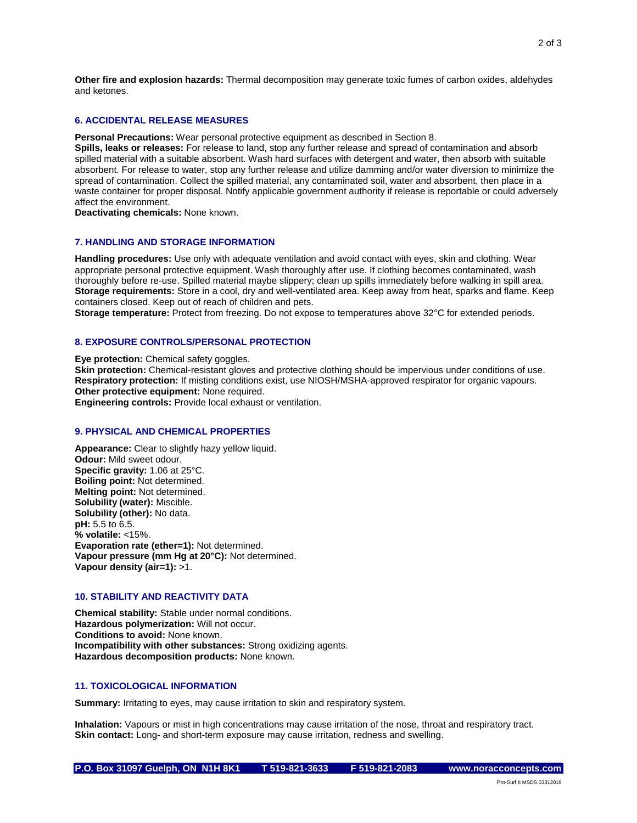**Other fire and explosion hazards:** Thermal decomposition may generate toxic fumes of carbon oxides, aldehydes and ketones.

# **6. ACCIDENTAL RELEASE MEASURES**

**Personal Precautions:** Wear personal protective equipment as described in Section 8.

**Spills, leaks or releases:** For release to land, stop any further release and spread of contamination and absorb spilled material with a suitable absorbent. Wash hard surfaces with detergent and water, then absorb with suitable absorbent. For release to water, stop any further release and utilize damming and/or water diversion to minimize the spread of contamination. Collect the spilled material, any contaminated soil, water and absorbent, then place in a waste container for proper disposal. Notify applicable government authority if release is reportable or could adversely affect the environment.

**Deactivating chemicals:** None known.

# **7. HANDLING AND STORAGE INFORMATION**

**Handling procedures:** Use only with adequate ventilation and avoid contact with eyes, skin and clothing. Wear appropriate personal protective equipment. Wash thoroughly after use. If clothing becomes contaminated, wash thoroughly before re-use. Spilled material maybe slippery; clean up spills immediately before walking in spill area. **Storage requirements:** Store in a cool, dry and well-ventilated area. Keep away from heat, sparks and flame. Keep containers closed. Keep out of reach of children and pets.

**Storage temperature:** Protect from freezing. Do not expose to temperatures above 32°C for extended periods.

# **8. EXPOSURE CONTROLS/PERSONAL PROTECTION**

**Eye protection:** Chemical safety goggles.

**Skin protection:** Chemical-resistant gloves and protective clothing should be impervious under conditions of use. **Respiratory protection:** If misting conditions exist, use NIOSH/MSHA-approved respirator for organic vapours. **Other protective equipment:** None required.

**Engineering controls:** Provide local exhaust or ventilation.

#### **9. PHYSICAL AND CHEMICAL PROPERTIES**

**Appearance:** Clear to slightly hazy yellow liquid. **Odour:** Mild sweet odour. **Specific gravity:** 1.06 at 25°C. **Boiling point:** Not determined. **Melting point:** Not determined. **Solubility (water):** Miscible. **Solubility (other):** No data. **pH:** 5.5 to 6.5. **% volatile:** <15%. **Evaporation rate (ether=1):** Not determined. **Vapour pressure (mm Hg at 20°C):** Not determined. **Vapour density (air=1):** >1.

# **10. STABILITY AND REACTIVITY DATA**

**Chemical stability:** Stable under normal conditions. **Hazardous polymerization:** Will not occur. **Conditions to avoid:** None known. **Incompatibility with other substances:** Strong oxidizing agents. **Hazardous decomposition products:** None known.

# **11. TOXICOLOGICAL INFORMATION**

**Summary:** Irritating to eyes, may cause irritation to skin and respiratory system.

**Inhalation:** Vapours or mist in high concentrations may cause irritation of the nose, throat and respiratory tract. **Skin contact:** Long- and short-term exposure may cause irritation, redness and swelling.

Pro-Surf II MSDS 03312019